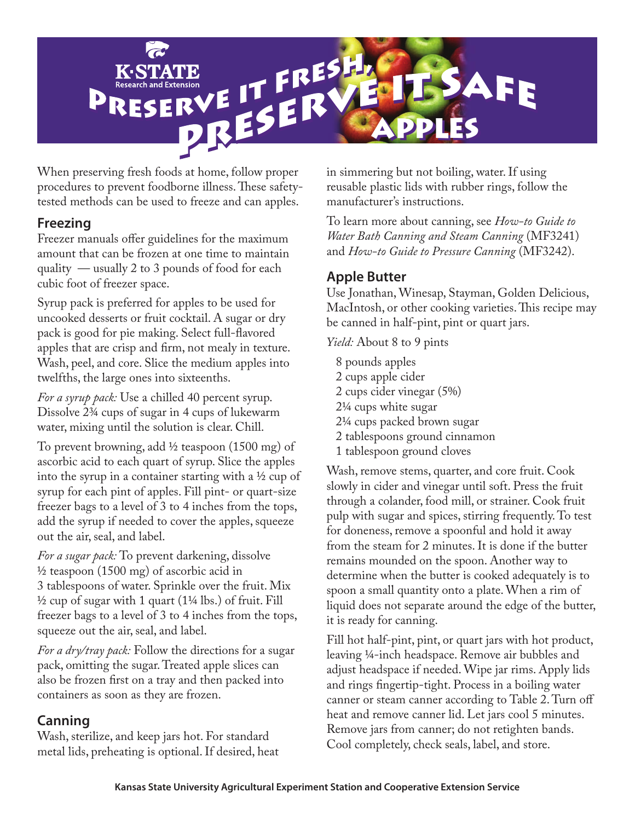

When preserving fresh foods at home, follow proper procedures to prevent foodborne illness. These safetytested methods can be used to freeze and can apples.

### **Freezing**

Freezer manuals offer guidelines for the maximum amount that can be frozen at one time to maintain quality — usually 2 to 3 pounds of food for each cubic foot of freezer space.

Syrup pack is preferred for apples to be used for uncooked desserts or fruit cocktail. A sugar or dry pack is good for pie making. Select full-flavored apples that are crisp and firm, not mealy in texture. Wash, peel, and core. Slice the medium apples into twelfths, the large ones into sixteenths.

*For a syrup pack:* Use a chilled 40 percent syrup. Dissolve 2¾ cups of sugar in 4 cups of lukewarm water, mixing until the solution is clear. Chill.

To prevent browning, add ½ teaspoon (1500 mg) of ascorbic acid to each quart of syrup. Slice the apples into the syrup in a container starting with a ½ cup of syrup for each pint of apples. Fill pint- or quart-size freezer bags to a level of 3 to 4 inches from the tops, add the syrup if needed to cover the apples, squeeze out the air, seal, and label.

*For a sugar pack:* To prevent darkening, dissolve ½ teaspoon (1500 mg) of ascorbic acid in 3 tablespoons of water. Sprinkle over the fruit. Mix ½ cup of sugar with 1 quart (1¼ lbs.) of fruit. Fill freezer bags to a level of 3 to 4 inches from the tops, squeeze out the air, seal, and label.

*For a dry/tray pack:* Follow the directions for a sugar pack, omitting the sugar. Treated apple slices can also be frozen first on a tray and then packed into containers as soon as they are frozen.

## **Canning**

Wash, sterilize, and keep jars hot. For standard metal lids, preheating is optional. If desired, heat in simmering but not boiling, water. If using reusable plastic lids with rubber rings, follow the manufacturer's instructions.

To learn more about canning, see *How-to Guide to Water Bath Canning and Steam Canning* (MF3241) and *How-to Guide to Pressure Canning* (MF3242).

# **Apple Butter**

Use Jonathan, Winesap, Stayman, Golden Delicious, MacIntosh, or other cooking varieties. This recipe may be canned in half-pint, pint or quart jars.

*Yield:* About 8 to 9 pints

8 pounds apples 2 cups apple cider 2 cups cider vinegar (5%) 2¼ cups white sugar 2¼ cups packed brown sugar 2 tablespoons ground cinnamon 1 tablespoon ground cloves

Wash, remove stems, quarter, and core fruit. Cook slowly in cider and vinegar until soft. Press the fruit through a colander, food mill, or strainer. Cook fruit pulp with sugar and spices, stirring frequently. To test for doneness, remove a spoonful and hold it away from the steam for 2 minutes. It is done if the butter remains mounded on the spoon. Another way to determine when the butter is cooked adequately is to spoon a small quantity onto a plate. When a rim of liquid does not separate around the edge of the butter, it is ready for canning.

Fill hot half-pint, pint, or quart jars with hot product, leaving 1/4-inch headspace. Remove air bubbles and adjust headspace if needed. Wipe jar rims. Apply lids and rings fingertip-tight. Process in a boiling water canner or steam canner according to Table 2. Turn off heat and remove canner lid. Let jars cool 5 minutes. Remove jars from canner; do not retighten bands. Cool completely, check seals, label, and store.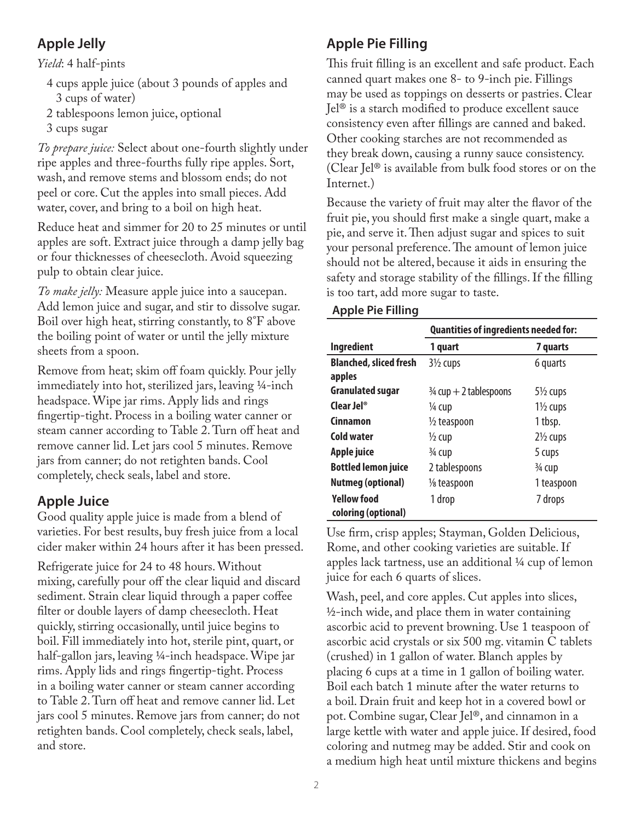# **Apple Jelly**

*Yield*: 4 half-pints

- 4 cups apple juice (about 3 pounds of apples and 3 cups of water)
- 2 tablespoons lemon juice, optional
- 3 cups sugar

*To prepare juice:* Select about one-fourth slightly under ripe apples and three-fourths fully ripe apples. Sort, wash, and remove stems and blossom ends; do not peel or core. Cut the apples into small pieces. Add water, cover, and bring to a boil on high heat.

Reduce heat and simmer for 20 to 25 minutes or until apples are soft. Extract juice through a damp jelly bag or four thicknesses of cheesecloth. Avoid squeezing pulp to obtain clear juice.

*To make jelly:* Measure apple juice into a saucepan. Add lemon juice and sugar, and stir to dissolve sugar. Boil over high heat, stirring constantly, to 8°F above the boiling point of water or until the jelly mixture sheets from a spoon.

Remove from heat; skim off foam quickly. Pour jelly immediately into hot, sterilized jars, leaving ¼-inch headspace. Wipe jar rims. Apply lids and rings fingertip-tight. Process in a boiling water canner or steam canner according to Table 2. Turn off heat and remove canner lid. Let jars cool 5 minutes. Remove jars from canner; do not retighten bands. Cool completely, check seals, label and store.

# **Apple Juice**

Good quality apple juice is made from a blend of varieties. For best results, buy fresh juice from a local cider maker within 24 hours after it has been pressed.

Refrigerate juice for 24 to 48 hours. Without mixing, carefully pour off the clear liquid and discard sediment. Strain clear liquid through a paper coffee filter or double layers of damp cheesecloth. Heat quickly, stirring occasionally, until juice begins to boil. Fill immediately into hot, sterile pint, quart, or half-gallon jars, leaving ¼-inch headspace. Wipe jar rims. Apply lids and rings fingertip-tight. Process in a boiling water canner or steam canner according to Table 2. Turn off heat and remove canner lid. Let jars cool 5 minutes. Remove jars from canner; do not retighten bands. Cool completely, check seals, label, and store.

# **Apple Pie Filling**

This fruit filling is an excellent and safe product. Each canned quart makes one 8- to 9-inch pie. Fillings may be used as toppings on desserts or pastries. Clear Jel® is a starch modified to produce excellent sauce consistency even after fillings are canned and baked. Other cooking starches are not recommended as they break down, causing a runny sauce consistency. (Clear Jel® is available from bulk food stores or on the Internet.)

Because the variety of fruit may alter the flavor of the fruit pie, you should first make a single quart, make a pie, and serve it. Then adjust sugar and spices to suit your personal preference. The amount of lemon juice should not be altered, because it aids in ensuring the safety and storage stability of the fillings. If the filling is too tart, add more sugar to taste.

### **Apple Pie Filling**

|                                           | <b>Quantities of ingredients needed for:</b> |                     |  |  |
|-------------------------------------------|----------------------------------------------|---------------------|--|--|
| <b>Ingredient</b>                         | 1 quart                                      | 7 quarts            |  |  |
| <b>Blanched, sliced fresh</b><br>apples   | $3\frac{1}{2}$ cups                          | 6 quarts            |  |  |
| <b>Granulated sugar</b>                   | $\frac{3}{4}$ cup + 2 tablespoons            | $5\frac{1}{2}$ cups |  |  |
| Clear $Ie^{\otimes}$                      | ¼ cup                                        | $1\frac{1}{2}$ cups |  |  |
| Cinnamon                                  | $\frac{1}{2}$ teaspoon                       | 1 tbsp.             |  |  |
| Cold water                                | $\frac{1}{2}$ cup                            | $2\frac{1}{2}$ cups |  |  |
| Apple juice                               | $\frac{3}{4}$ cup                            | 5 cups              |  |  |
| <b>Bottled lemon juice</b>                | 2 tablespoons                                | $\frac{3}{4}$ cup   |  |  |
| <b>Nutmeg (optional)</b>                  | 1/8 teaspoon                                 | 1 teaspoon          |  |  |
| <b>Yellow food</b><br>coloring (optional) | 1 drop                                       | 7 drops             |  |  |

Use firm, crisp apples; Stayman, Golden Delicious, Rome, and other cooking varieties are suitable. If apples lack tartness, use an additional ¼ cup of lemon juice for each 6 quarts of slices.

Wash, peel, and core apples. Cut apples into slices,  $\frac{1}{2}$ -inch wide, and place them in water containing ascorbic acid to prevent browning. Use 1 teaspoon of ascorbic acid crystals or six 500 mg. vitamin C tablets (crushed) in 1 gallon of water. Blanch apples by placing 6 cups at a time in 1 gallon of boiling water. Boil each batch 1 minute after the water returns to a boil. Drain fruit and keep hot in a covered bowl or pot. Combine sugar, Clear Jel®, and cinnamon in a large kettle with water and apple juice. If desired, food coloring and nutmeg may be added. Stir and cook on a medium high heat until mixture thickens and begins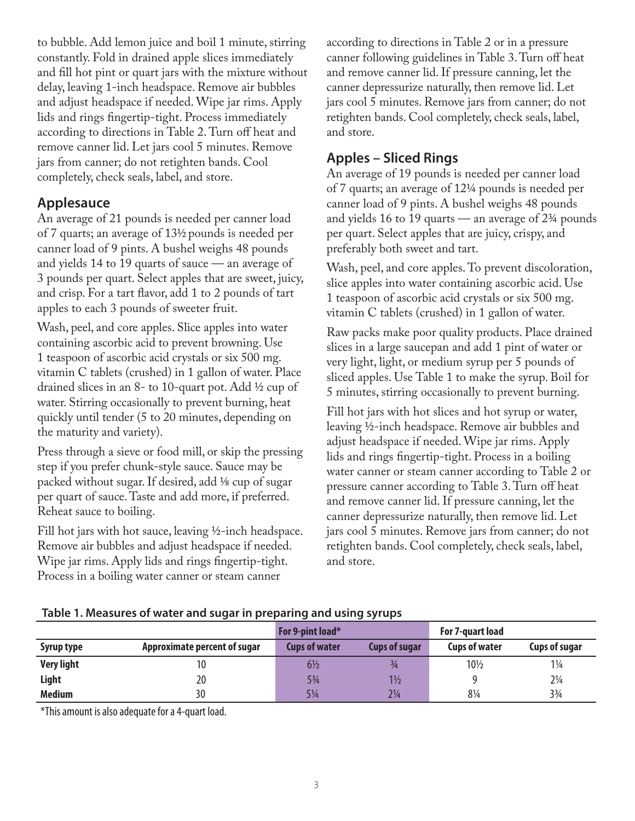to bubble. Add lemon juice and boil 1 minute, stirring constantly. Fold in drained apple slices immediately and fill hot pint or quart jars with the mixture without delay, leaving 1-inch headspace. Remove air bubbles and adjust headspace if needed. Wipe jar rims. Apply lids and rings fingertip-tight. Process immediately according to directions in Table 2. Turn off heat and remove canner lid. Let jars cool 5 minutes. Remove jars from canner; do not retighten bands. Cool completely, check seals, label, and store.

## **Applesauce**

An average of 21 pounds is needed per canner load of 7 quarts; an average of 131⁄2 pounds is needed per canner load of 9 pints. A bushel weighs 48 pounds and yields 14 to 19 quarts of sauce — an average of 3 pounds per quart. Select apples that are sweet, juicy, and crisp. For a tart flavor, add 1 to 2 pounds of tart apples to each 3 pounds of sweeter fruit.

Wash, peel, and core apples. Slice apples into water containing ascorbic acid to prevent browning. Use 1 teaspoon of ascorbic acid crystals or six 500 mg. vitamin C tablets (crushed) in 1 gallon of water. Place drained slices in an 8- to 10-quart pot. Add ½ cup of water. Stirring occasionally to prevent burning, heat quickly until tender (5 to 20 minutes, depending on the maturity and variety).

Press through a sieve or food mill, or skip the pressing step if you prefer chunk-style sauce. Sauce may be packed without sugar. If desired, add ⅛ cup of sugar per quart of sauce. Taste and add more, if preferred. Reheat sauce to boiling.

Fill hot jars with hot sauce, leaving ½-inch headspace. Remove air bubbles and adjust headspace if needed. Wipe jar rims. Apply lids and rings fingertip-tight. Process in a boiling water canner or steam canner

according to directions in Table 2 or in a pressure canner following guidelines in Table 3. Turn off heat and remove canner lid. If pressure canning, let the canner depressurize naturally, then remove lid. Let jars cool 5 minutes. Remove jars from canner; do not retighten bands. Cool completely, check seals, label, and store.

# **Apples – Sliced Rings**

An average of 19 pounds is needed per canner load of 7 quarts; an average of 12¼ pounds is needed per canner load of 9 pints. A bushel weighs 48 pounds and yields 16 to 19 quarts — an average of 2¾ pounds per quart. Select apples that are juicy, crispy, and preferably both sweet and tart.

Wash, peel, and core apples. To prevent discoloration, slice apples into water containing ascorbic acid. Use 1 teaspoon of ascorbic acid crystals or six 500 mg. vitamin C tablets (crushed) in 1 gallon of water.

Raw packs make poor quality products. Place drained slices in a large saucepan and add 1 pint of water or very light, light, or medium syrup per 5 pounds of sliced apples. Use Table 1 to make the syrup. Boil for 5 minutes, stirring occasionally to prevent burning.

Fill hot jars with hot slices and hot syrup or water, leaving ½-inch headspace. Remove air bubbles and adjust headspace if needed. Wipe jar rims. Apply lids and rings fingertip-tight. Process in a boiling water canner or steam canner according to Table 2 or pressure canner according to Table 3. Turn off heat and remove canner lid. If pressure canning, let the canner depressurize naturally, then remove lid. Let jars cool 5 minutes. Remove jars from canner; do not retighten bands. Cool completely, check seals, label, and store.

|                   | ---<br>For 9-pint load*      |                      |                      | For 7-quart load     |                      |
|-------------------|------------------------------|----------------------|----------------------|----------------------|----------------------|
| Syrup type        | Approximate percent of sugar | <b>Cups of water</b> | <b>Cups of sugar</b> | <b>Cups of water</b> | <b>Cups of sugar</b> |
| <b>Very light</b> | 10                           | $6\frac{1}{2}$       | $\frac{3}{4}$        | 101/2                | $1\frac{1}{4}$       |
| Light             | 20                           | 5¾                   | $1\frac{1}{2}$       |                      | $2\frac{1}{4}$       |
| <b>Medium</b>     | 30                           | 51/4                 | $2\frac{1}{4}$       | 81/4                 | $3\frac{3}{4}$       |

### **Table 1. Measures of water and sugar in preparing and using syrups**

\*This amount is also adequate for a 4-quart load.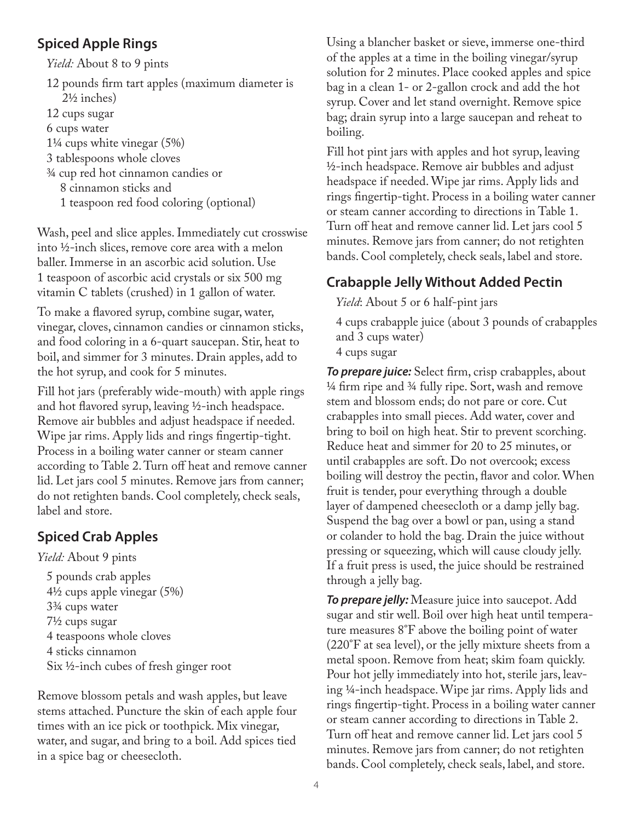## **Spiced Apple Rings**

*Yield:* About 8 to 9 pints

- 12 pounds firm tart apples (maximum diameter is 2½ inches)
- 12 cups sugar
- 6 cups water
- 1¼ cups white vinegar (5%)
- 3 tablespoons whole cloves
- ¾ cup red hot cinnamon candies or
	- 8 cinnamon sticks and
	- 1 teaspoon red food coloring (optional)

Wash, peel and slice apples. Immediately cut crosswise into ½-inch slices, remove core area with a melon baller. Immerse in an ascorbic acid solution. Use 1 teaspoon of ascorbic acid crystals or six 500 mg vitamin C tablets (crushed) in 1 gallon of water.

To make a flavored syrup, combine sugar, water, vinegar, cloves, cinnamon candies or cinnamon sticks, and food coloring in a 6-quart saucepan. Stir, heat to boil, and simmer for 3 minutes. Drain apples, add to the hot syrup, and cook for 5 minutes.

Fill hot jars (preferably wide-mouth) with apple rings and hot flavored syrup, leaving ½-inch headspace. Remove air bubbles and adjust headspace if needed. Wipe jar rims. Apply lids and rings fingertip-tight. Process in a boiling water canner or steam canner according to Table 2. Turn off heat and remove canner lid. Let jars cool 5 minutes. Remove jars from canner; do not retighten bands. Cool completely, check seals, label and store.

# **Spiced Crab Apples**

*Yield:* About 9 pints

5 pounds crab apples 4½ cups apple vinegar (5%) 3¾ cups water 7½ cups sugar 4 teaspoons whole cloves 4 sticks cinnamon Six ½-inch cubes of fresh ginger root

Remove blossom petals and wash apples, but leave stems attached. Puncture the skin of each apple four times with an ice pick or toothpick. Mix vinegar, water, and sugar, and bring to a boil. Add spices tied in a spice bag or cheesecloth.

Using a blancher basket or sieve, immerse one-third of the apples at a time in the boiling vinegar/syrup solution for 2 minutes. Place cooked apples and spice bag in a clean 1- or 2-gallon crock and add the hot syrup. Cover and let stand overnight. Remove spice bag; drain syrup into a large saucepan and reheat to boiling.

Fill hot pint jars with apples and hot syrup, leaving ½-inch headspace. Remove air bubbles and adjust headspace if needed. Wipe jar rims. Apply lids and rings fingertip-tight. Process in a boiling water canner or steam canner according to directions in Table 1. Turn off heat and remove canner lid. Let jars cool 5 minutes. Remove jars from canner; do not retighten bands. Cool completely, check seals, label and store.

# **Crabapple Jelly Without Added Pectin**

*Yield*: About 5 or 6 half-pint jars

4 cups crabapple juice (about 3 pounds of crabapples and 3 cups water)

4 cups sugar

*To prepare juice:* Select firm, crisp crabapples, about ¼ firm ripe and ¾ fully ripe. Sort, wash and remove stem and blossom ends; do not pare or core. Cut crabapples into small pieces. Add water, cover and bring to boil on high heat. Stir to prevent scorching. Reduce heat and simmer for 20 to 25 minutes, or until crabapples are soft. Do not overcook; excess boiling will destroy the pectin, flavor and color. When fruit is tender, pour everything through a double layer of dampened cheesecloth or a damp jelly bag. Suspend the bag over a bowl or pan, using a stand or colander to hold the bag. Drain the juice without pressing or squeezing, which will cause cloudy jelly. If a fruit press is used, the juice should be restrained through a jelly bag.

*To prepare jelly:* Measure juice into saucepot. Add sugar and stir well. Boil over high heat until temperature measures 8°F above the boiling point of water (220°F at sea level), or the jelly mixture sheets from a metal spoon. Remove from heat; skim foam quickly. Pour hot jelly immediately into hot, sterile jars, leaving ¼-inch headspace. Wipe jar rims. Apply lids and rings fingertip-tight. Process in a boiling water canner or steam canner according to directions in Table 2. Turn off heat and remove canner lid. Let jars cool 5 minutes. Remove jars from canner; do not retighten bands. Cool completely, check seals, label, and store.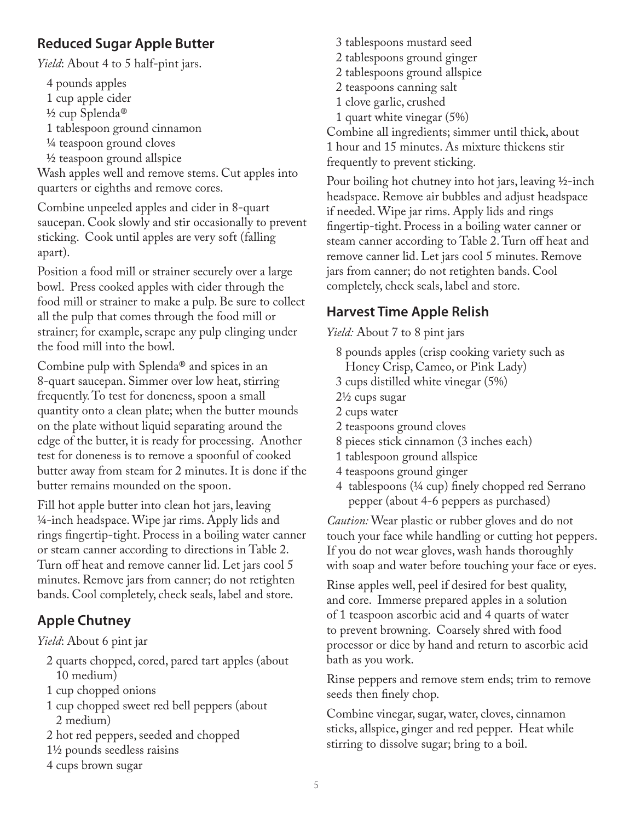## **Reduced Sugar Apple Butter**

*Yield*: About 4 to 5 half-pint jars.

4 pounds apples

- 1 cup apple cider
- ½ cup Splenda®
- 1 tablespoon ground cinnamon
- ¼ teaspoon ground cloves
- ½ teaspoon ground allspice

Wash apples well and remove stems. Cut apples into quarters or eighths and remove cores.

Combine unpeeled apples and cider in 8-quart saucepan. Cook slowly and stir occasionally to prevent sticking. Cook until apples are very soft (falling apart).

Position a food mill or strainer securely over a large bowl. Press cooked apples with cider through the food mill or strainer to make a pulp. Be sure to collect all the pulp that comes through the food mill or strainer; for example, scrape any pulp clinging under the food mill into the bowl.

Combine pulp with Splenda® and spices in an 8-quart saucepan. Simmer over low heat, stirring frequently. To test for doneness, spoon a small quantity onto a clean plate; when the butter mounds on the plate without liquid separating around the edge of the butter, it is ready for processing. Another test for doneness is to remove a spoonful of cooked butter away from steam for 2 minutes. It is done if the butter remains mounded on the spoon.

Fill hot apple butter into clean hot jars, leaving ¼-inch headspace. Wipe jar rims. Apply lids and rings fingertip-tight. Process in a boiling water canner or steam canner according to directions in Table 2. Turn off heat and remove canner lid. Let jars cool 5 minutes. Remove jars from canner; do not retighten bands. Cool completely, check seals, label and store.

# **Apple Chutney**

## *Yield*: About 6 pint jar

- 2 quarts chopped, cored, pared tart apples (about 10 medium)
- 1 cup chopped onions
- 1 cup chopped sweet red bell peppers (about 2 medium)
- 2 hot red peppers, seeded and chopped
- 1½ pounds seedless raisins
- 4 cups brown sugar

3 tablespoons mustard seed 2 tablespoons ground ginger 2 tablespoons ground allspice 2 teaspoons canning salt 1 clove garlic, crushed 1 quart white vinegar (5%) Combine all ingredients; simmer until thick, about

1 hour and 15 minutes. As mixture thickens stir frequently to prevent sticking.

Pour boiling hot chutney into hot jars, leaving ½-inch headspace. Remove air bubbles and adjust headspace if needed. Wipe jar rims. Apply lids and rings fingertip-tight. Process in a boiling water canner or steam canner according to Table 2. Turn off heat and remove canner lid. Let jars cool 5 minutes. Remove jars from canner; do not retighten bands. Cool completely, check seals, label and store.

# **Harvest Time Apple Relish**

*Yield:* About 7 to 8 pint jars

- 8 pounds apples (crisp cooking variety such as
- Honey Crisp, Cameo, or Pink Lady)
- 3 cups distilled white vinegar (5%)
- 2½ cups sugar
- 2 cups water
- 2 teaspoons ground cloves
- 8 pieces stick cinnamon (3 inches each)
- 1 tablespoon ground allspice
- 4 teaspoons ground ginger
- 4 tablespoons (¼ cup) finely chopped red Serrano pepper (about 4-6 peppers as purchased)

*Caution:* Wear plastic or rubber gloves and do not touch your face while handling or cutting hot peppers. If you do not wear gloves, wash hands thoroughly with soap and water before touching your face or eyes.

Rinse apples well, peel if desired for best quality, and core. Immerse prepared apples in a solution of 1 teaspoon ascorbic acid and 4 quarts of water to prevent browning. Coarsely shred with food processor or dice by hand and return to ascorbic acid bath as you work.

Rinse peppers and remove stem ends; trim to remove seeds then finely chop.

Combine vinegar, sugar, water, cloves, cinnamon sticks, allspice, ginger and red pepper. Heat while stirring to dissolve sugar; bring to a boil.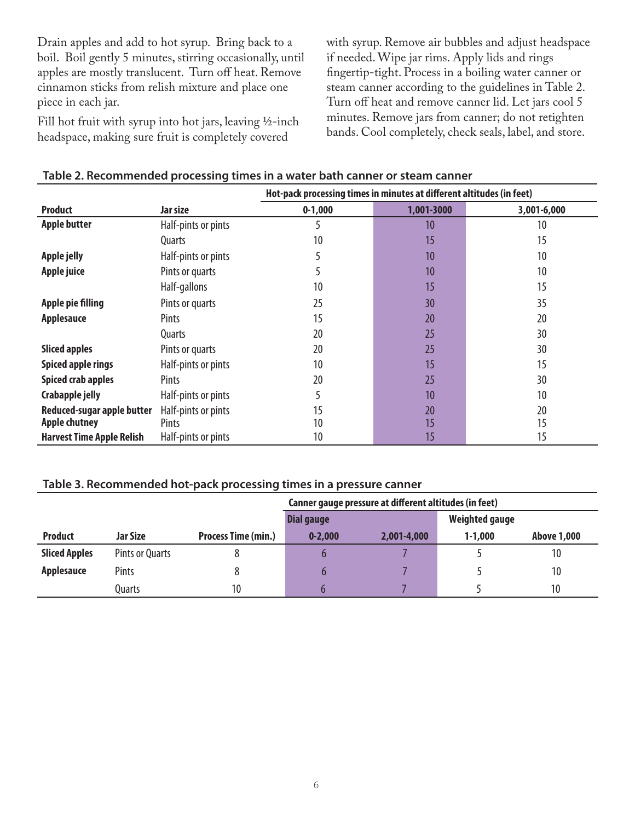Drain apples and add to hot syrup. Bring back to a boil. Boil gently 5 minutes, stirring occasionally, until apples are mostly translucent. Turn off heat. Remove cinnamon sticks from relish mixture and place one piece in each jar.

Fill hot fruit with syrup into hot jars, leaving ½-inch headspace, making sure fruit is completely covered

with syrup. Remove air bubbles and adjust headspace if needed. Wipe jar rims. Apply lids and rings fingertip-tight. Process in a boiling water canner or steam canner according to the guidelines in Table 2. Turn off heat and remove canner lid. Let jars cool 5 minutes. Remove jars from canner; do not retighten bands. Cool completely, check seals, label, and store.

|                                  |                     | Hot-pack processing times in minutes at different altitudes (in feet) |            |             |  |  |
|----------------------------------|---------------------|-----------------------------------------------------------------------|------------|-------------|--|--|
| <b>Product</b>                   | Jar size            | $0-1,000$                                                             | 1,001-3000 | 3,001-6,000 |  |  |
| <b>Apple butter</b>              | Half-pints or pints | 5                                                                     | 10         | 10          |  |  |
|                                  | Quarts              | 10                                                                    | 15         | 15          |  |  |
| Apple jelly                      | Half-pints or pints |                                                                       | 10         | 10          |  |  |
| Apple juice                      | Pints or quarts     | 5                                                                     | 10         | 10          |  |  |
|                                  | Half-gallons        | 10                                                                    | 15         | 15          |  |  |
| <b>Apple pie filling</b>         | Pints or quarts     | 25                                                                    | 30         | 35          |  |  |
| <b>Applesauce</b>                | Pints               | 15                                                                    | 20         | 20          |  |  |
|                                  | Quarts              | 20                                                                    | 25         | 30          |  |  |
| <b>Sliced apples</b>             | Pints or quarts     | 20                                                                    | 25         | 30          |  |  |
| <b>Spiced apple rings</b>        | Half-pints or pints | 10                                                                    | 15         | 15          |  |  |
| <b>Spiced crab apples</b>        | Pints               | 20                                                                    | 25         | 30          |  |  |
| Crabapple jelly                  | Half-pints or pints | 5                                                                     | 10         | 10          |  |  |
| Reduced-sugar apple butter       | Half-pints or pints | 15                                                                    | 20         | 20          |  |  |
| <b>Apple chutney</b>             | Pints               | 10                                                                    | 15         | 15          |  |  |
| <b>Harvest Time Apple Relish</b> | Half-pints or pints | 10                                                                    | 15         | 15          |  |  |

#### **Table 2. Recommended processing times in a water bath canner or steam canner**

### **Table 3. Recommended hot-pack processing times in a pressure canner**

|                      |                 |                            | Canner gauge pressure at different altitudes (in feet) |             |                       |                    |
|----------------------|-----------------|----------------------------|--------------------------------------------------------|-------------|-----------------------|--------------------|
|                      |                 |                            | Dial gauge                                             |             | <b>Weighted gauge</b> |                    |
| <b>Product</b>       | Jar Size        | <b>Process Time (min.)</b> | $0 - 2,000$                                            | 2,001-4,000 | $1 - 1,000$           | <b>Above 1,000</b> |
| <b>Sliced Apples</b> | Pints or Quarts | ٥                          |                                                        |             |                       | 10                 |
| <b>Applesauce</b>    | Pints           | Ŏ                          |                                                        |             |                       | 10                 |
|                      | Quarts          | 10                         |                                                        |             |                       | 10                 |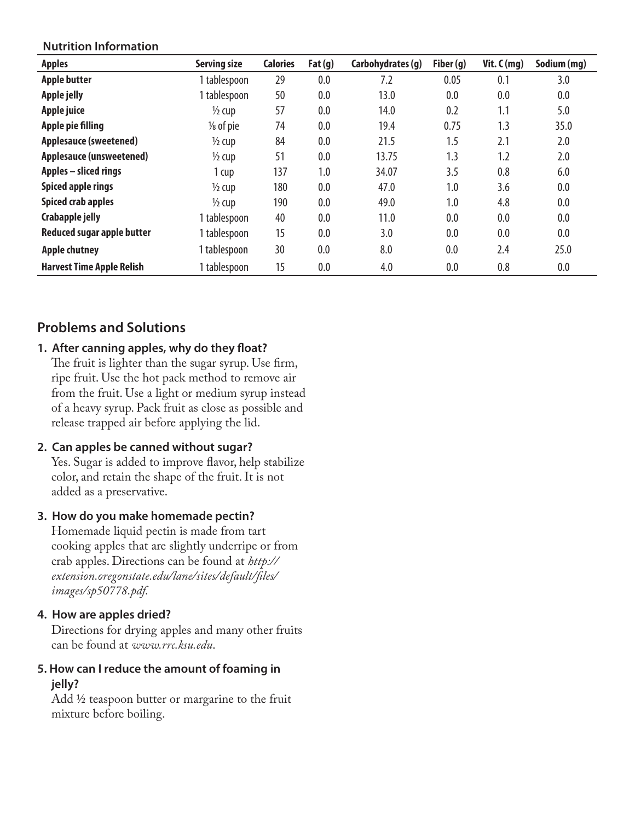### **Nutrition Information**

| <b>Apples</b>                    | <b>Serving size</b>  | <b>Calories</b> | Fat(g) | Carbohydrates (g) | Fiber (g) | Vit. $C(mg)$ | Sodium (mg) |
|----------------------------------|----------------------|-----------------|--------|-------------------|-----------|--------------|-------------|
| <b>Apple butter</b>              | 1 tablespoon         | 29              | 0.0    | 7.2               | 0.05      | 0.1          | 3.0         |
| <b>Apple jelly</b>               | 1 tablespoon         | 50              | 0.0    | 13.0              | 0.0       | 0.0          | 0.0         |
| Apple juice                      | $\frac{1}{2}$ cup    | 57              | 0.0    | 14.0              | 0.2       | 1.1          | 5.0         |
| <b>Apple pie filling</b>         | $\frac{1}{8}$ of pie | 74              | 0.0    | 19.4              | 0.75      | 1.3          | 35.0        |
| <b>Applesauce (sweetened)</b>    | $\frac{1}{2}$ cup    | 84              | 0.0    | 21.5              | 1.5       | 2.1          | 2.0         |
| <b>Applesauce (unsweetened)</b>  | $\frac{1}{2}$ cup    | 51              | 0.0    | 13.75             | 1.3       | 1.2          | 2.0         |
| <b>Apples – sliced rings</b>     | 1 cup                | 137             | 1.0    | 34.07             | 3.5       | 0.8          | 6.0         |
| <b>Spiced apple rings</b>        | $\frac{1}{2}$ cup    | 180             | 0.0    | 47.0              | 1.0       | 3.6          | 0.0         |
| <b>Spiced crab apples</b>        | $\frac{1}{2}$ cup    | 190             | 0.0    | 49.0              | 1.0       | 4.8          | 0.0         |
| <b>Crabapple jelly</b>           | 1 tablespoon         | 40              | 0.0    | 11.0              | 0.0       | 0.0          | 0.0         |
| Reduced sugar apple butter       | 1 tablespoon         | 15              | 0.0    | 3.0               | 0.0       | 0.0          | 0.0         |
| <b>Apple chutney</b>             | 1 tablespoon         | 30              | 0.0    | 8.0               | 0.0       | 2.4          | 25.0        |
| <b>Harvest Time Apple Relish</b> | 1 tablespoon         | 15              | 0.0    | 4.0               | 0.0       | 0.8          | 0.0         |

## **Problems and Solutions**

### **1. After canning apples, why do they float?** The fruit is lighter than the sugar syrup. Use firm, ripe fruit. Use the hot pack method to remove air from the fruit. Use a light or medium syrup instead of a heavy syrup. Pack fruit as close as possible and release trapped air before applying the lid.

### **2. Can apples be canned without sugar?**

Yes. Sugar is added to improve flavor, help stabilize color, and retain the shape of the fruit. It is not added as a preservative.

### **3. How do you make homemade pectin?**

Homemade liquid pectin is made from tart cooking apples that are slightly underripe or from crab apples. Directions can be found at *http:// extension.oregonstate.edu/lane/sites/default/files/ images/sp50778.pdf.*

### **4. How are apples dried?**

Directions for drying apples and many other fruits can be found at *www.rrc.ksu.edu*.

### **5. How can I reduce the amount of foaming in jelly?**

Add ½ teaspoon butter or margarine to the fruit mixture before boiling.